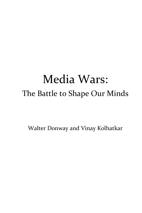# Media Wars: The Battle to Shape Our Minds

Walter Donway and Vinay Kolhatkar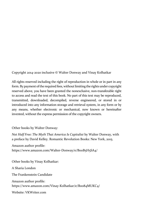Copyright 2014‐2020 inclusive © Walter Donway and Vinay Kolhatkar

All rights reserved including the right of reproduction in whole or in part in any form. By payment of the required fees, without limiting the rights under copyright reserved above, you have been granted the nonexclusive, non-transferable right to access and read the text of this book. No part of this text may be reproduced, transmitted, downloaded, decompiled, reverse engineered, or stored in or introduced into any information storage and retrieval system, in any form or by any means, whether electronic or mechanical, now known or hereinafter invented, without the express permission of the copyright owners.

Other books by Walter Donway:

*Not Half Free: The Myth That America Is Capitalist* by Walter Donway, with a preface by David Kelley. Romantic Revolution Books: New York, 2015.

Amazon author profile:

https://www.amazon.com/Walter-Donway/e/BooB5H5SA4/

Other books by Vinay Kolhatkar:

A Sharia London

The Frankenstein Candidate

Amazon author profile: https://www.amazon.com/Vinay-Kolhatkar/e/Boo84MUKC4/

Website: VKWriter.com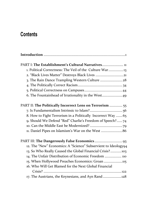# **Contents**

| PART I: The Establishment's Cultural Narratives 11             |
|----------------------------------------------------------------|
| 1. Political Correctness: The Veil of the Culture War13        |
| 2. "Black Lives Matter" Destroys Black Lives 21                |
| 3. The Rain Dance Trampling Western Culture  28                |
|                                                                |
|                                                                |
| 6. The Fountainhead of Irrationality in the West49             |
| PART II: The Politically Incorrect Lens on Terrorism  55       |
|                                                                |
| 8. How to Fight Terrorism in a Politically Incorrect Way  65   |
| 9. Should We Defend "Red" Charlie's Freedom of Speech?74       |
|                                                                |
|                                                                |
|                                                                |
| 12. The "New" Economics: A "Science" Subservient to Ideology94 |
| 13. So Who Really Caused the Global Financial Crisis?103       |
| 14. The Unfair Distribution of Economic Freedom  110           |
| 15. When Hollywood Preaches Economics: Groan 115               |
| 16. Who Will Get Blamed for the Next Global Financial          |
|                                                                |
| 17. The Austrians, the Keynesians, and Ayn Rand 128            |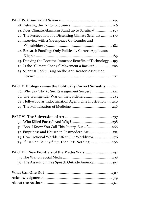| 19. Does Climate Alarmism Stand up to Scrutiny?  159          |
|---------------------------------------------------------------|
| 20. The Persecution of a Dissenting Climate Scientist  170    |
| 21. Interview with a Greenpeace Co-founder and                |
|                                                               |
| 22. Research Funding: Only Politically Correct Applicants     |
|                                                               |
| 23. Denying the Poor the Immense Benefits of Technology  195  |
| 24. Is the "Climate Change" Movement a Racket?202             |
| 25. Scientist Robin Craig on the Anti-Reason Assault on       |
|                                                               |
|                                                               |
| PART V: Biology versus the Politically Correct Sexuality  221 |
| 26. Why Say "No" to Sex Reassignment Surgery222               |
| 27. The Transgender War on the Battlefield  233               |
| 28. Hollywood as Indoctrination Agent: One Illustration  240  |
|                                                               |
|                                                               |
|                                                               |
| 31. "Bob, I Know You Call This Poetry, But " 266              |
| 32. Emptiness and Nausea in Postmodern Art 273                |
| 33. How Fictional Worlds Affect Our Worldview278              |
| 34. If Art Can Be Anything, Then It Is Nothing 290            |
|                                                               |
| PART VII: New Frontiers of the Media Wars 297                 |
|                                                               |
| 307 36. The Assault on Free Speech Outside America 307        |
|                                                               |
|                                                               |
|                                                               |
|                                                               |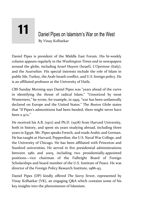# Daniel Pipes on Islamism's War on the West By Vinay Kolhatkar **11**

Daniel Pipes is president of the Middle East Forum. His bi-weekly column appears regularly in the *Washington Times a*nd in newspapers around the globe, including *Israel Hayom* (Israel), *L'Opinione* (Italy), and the *Australian*. His special interests include the role of Islam in public life, Turkey, the Arab‐Israeli conflict, and U.S. foreign policy. He is an affiliated professor at the University of Haifa.

CBS Sunday Morning says Daniel Pipes was "years ahead of the curve in identifying the threat of radical Islam." "Unnoticed by most Westerners," he wrote, for example, in 1995, "war has been unilaterally declared on Europe and the United States." The *Boston Globe* states that "If Pipes's admonitions had been heeded, there might never have been a  $9/11$ ."

He received his A.B. (1971) and Ph.D. (1978) from Harvard University, both in history, and spent six years studying abroad, including three years in Egypt. Mr. Pipes speaks French, and reads Arabic and German. He has taught at Harvard, Pepperdine, the U.S. Naval War College, and the University of Chicago. He has been affiliated with Princeton and Stanford universities. He served in five presidential administrations between 1982 and 2005, including two presidentially-appointed positions—vice chairman of the Fulbright Board of Foreign Scholarships and board member of the U.S. Institute of Peace. He was director of the Foreign Policy Research Institute, 1986‐93.

Daniel Pipes (DP) kindly offered *The Savvy Street*, represented by Vinay Kolhatkar (VK), an engaging Q&A which contains some of his key insights into the phenomenon of Islamism.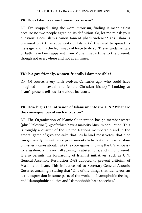#### **VK: Does Islam's canon foment terrorism?**

DP: I've stopped using the word *terrorism*, finding it meaningless because no two people agree on its definition. So, let me re‐ask your question: Does Islam's canon foment jihadi violence? Yes. Islam is premised on (1) the superiority of Islam, (2) the need to spread its message, and (3) the legitimacy of force to do so. These fundamentals of faith have been apparent from Muhammad's time to the present, though not everywhere and not at all times.

#### **VK: Is a gay‐friendly, women‐friendly Islam possible?**

DP: Of course. Every faith evolves. Centuries ago, who could have imagined homosexual and female Christian bishops? Looking at Islam's present tells us little about its future.

## **VK: How big is the intrusion of Islamism into the U.N.? What are the consequences of such intrusion?**

DP: The Organization of Islamic Cooperation has 56 member-states (plus "Palestine"), 47 of which have a majority Muslim population. This is roughly a quarter of the United Nations membership and in the amoral game of give-and-take that lies behind most votes, that bloc can get nearly the entire 193 governments to back it or at least abstain on issues it cares about. Take the vote against moving the U.S. embassy to Jerusalem: 9 in favor, 128 against, 35 abstentions, and 21 not present. It also permits the forwarding of Islamist initiatives, such as U.N. General Assembly Resolution 16/18 adopted to prevent criticism of Muslims or Islam. This influence led to Secretary‐General Antonio Guterres amazingly stating that "One of the things that fuel terrorism is the expression in some parts of the world of Islamophobic feelings and Islamophobic policies and Islamophobic hate speeches."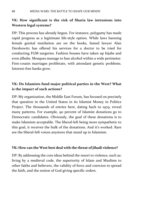# **VK: How significant is the risk of Sharia law intrusions into Western legal systems?**

DP: This process has already begun. For instance, polygamy has made rapid progress as a legitimate life‐style option. While laws banning female genital mutilation are on the books, famed lawyer Alan Dershowitz has offered his services for a doctor to be tried for conducting FGM surgeries. Fashion houses have taken up hijabs and even jilbabs. Mosques manage to ban alcohol within a wide perimeter. First-cousin marriages proliferate, with attendant genetic problems. Interest‐free banks grow.

## **VK: Do Islamists fund major political parties in the West? What is the impact of such actions?**

DP: My organization, the Middle East Forum, has focused on precisely that question in the United States in its Islamist Money in Politics Project. The thousands of entries here, dating back to 1979, reveal many patterns. For example, 90 percent of Islamist donations go to Democratic candidates. Obviously, the goal of these donations is to make Islamism acceptable. The liberal-left being more sympathetic to this goal, it receives the bulk of the donations. And it's worked. Rare are the liberal‐left voices anymore that stand up to Islamism.

#### **VK: How can the West best deal with the threat of jihadi violence?**

DP: By addressing the core ideas behind the resort to violence, such as: living by a medieval code, the superiority of Islam and Muslims to other faiths and believers, the validity of force and coercion to spread the faith, and the notion of God giving specific orders.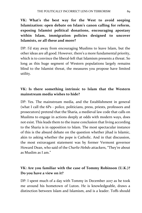**VK: What's the best way for the West to avoid seeping Islamization: open debate on Islam's canon calling for reform, exposing Islamist political donations, encouraging apostasy within Islam, immigration policies designed to uncover Islamists, or all these and more?**

DP: I'd stay away from encouraging Muslims to leave Islam, but the other ideas are all good. However, there's a more fundamental priority, which is to convince the liberal-left that Islamism presents a threat. So long as this huge segment of Western populations largely remains blind to the Islamist threat, the measures you propose have limited utility.

# **VK: Is there something intrinsic to Islam that the Western mainstream media wishes to hide?**

DP: Yes. The mainstream media, and the Establishment in general (what I call the 6Ps ‐ police, politicians, press, priests, professors and prosecutors) pretend that the Sharia, a medieval law code that calls on Muslims to engage in actions deeply at odds with modern ways, does not exist. This leads them to the inane conclusion that living according to the Sharia is in opposition to Islam. The most spectacular instance of this is the absurd debate on the question whether jihad is Islamic, akin to asking whether the pope is Catholic. And in that discussion, the most extravagant statement was by former Vermont governor Howard Dean, who said of the *Charlie Hebdo* attackers, "They're about as Muslim as I am."

# **VK: Are you familiar with the case of Tommy Robinson (U.K.)? Do you have a view on it?**

DP: I spent much of a day with Tommy in December 2017 as he took me around his hometown of Luton. He is knowledgeable, draws a distinction between Islam and Islamism, and is a leader. Toffs should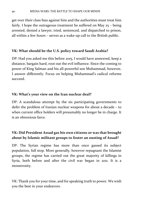get over their class bias against him and the authorities must treat him fairly. I hope the outrageous treatment he suffered on May 25 – being arrested, denied a lawyer, tried, sentenced, and dispatched to prison, all within a few hours – serves as a wake‐up call to the British public.

#### **VK: What should be the U.S. policy toward Saudi Arabia?**

DP: Had you asked me this before 2015, I would have answered, keep a distance, bargain hard, root out the evil influence. Since the coming to power of King Salman and his all‐powerful son Muhammad, however, I answer differently: Focus on helping Muhammad's radical reforms succeed.

#### **VK: What's your view on the Iran nuclear deal?**

DP: A scandalous attempt by the six participating governments to defer the problem of Iranian nuclear weapons for about a decade – to when current office holders will presumably no longer be in charge. It is an obnoxious farce.

# **VK: Did President Assad gas his own citizens or was that brought about by Islamic militant groups to foster an ousting of Assad?**

DP: The Syrian regime has more than once gassed its subject population, full stop. More generally, however repugnant the Islamist groups, the regime has carried out the great majority of killings in Syria, both before and after the civil war began in 2011. It is a monstrosity.

VK: Thank you for your time, and for speaking truth to power. We wish you the best in your endeavors.